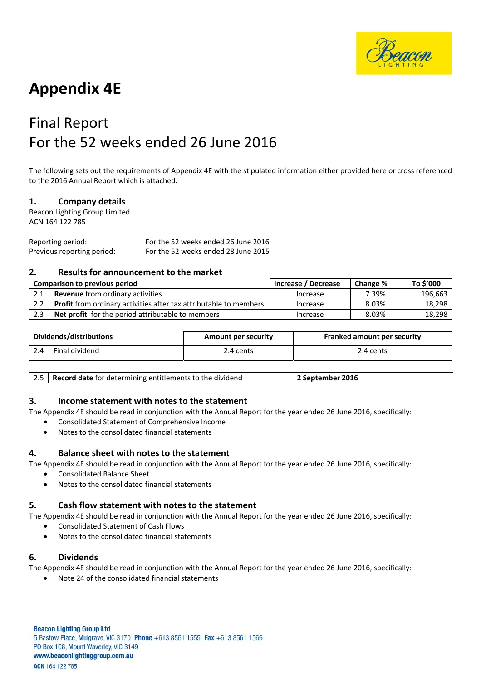

# **Appendix 4E**

# Final Report For the 52 weeks ended 26 June 2016

The following sets out the requirements of Appendix 4E with the stipulated information either provided here or cross referenced to the 2016 Annual Report which is attached.

## **1. Company details**

Beacon Lighting Group Limited ACN 164 122 785

Reporting period: For the 52 weeks ended 26 June 2016 Previous reporting period: For the 52 weeks ended 28 June 2015

## **2. Results for announcement to the market**

| Comparison to previous period |                                                                          | Increase / Decrease | Change % | To \$'000 |
|-------------------------------|--------------------------------------------------------------------------|---------------------|----------|-----------|
|                               | <b>Revenue</b> from ordinary activities                                  | Increase            | 7.39%    | 196,663   |
| 2.2                           | <b>Profit</b> from ordinary activities after tax attributable to members | Increase            | 8.03%    | 18,298    |
| 2.3                           | <b>Net profit</b> for the period attributable to members                 | Increase            | 8.03%    | 18,298    |

| Dividends/distributions |                | <b>Amount per security</b> | <b>Franked amount per security</b> |  |
|-------------------------|----------------|----------------------------|------------------------------------|--|
| 2.4                     | Final dividend | 2.4 cents                  | 2.4 cents                          |  |

| 2.5   Record date for determining entitlements to the dividend<br>' September 2016 |
|------------------------------------------------------------------------------------|
|------------------------------------------------------------------------------------|

### **3. Income statement with notes to the statement**

The Appendix 4E should be read in conjunction with the Annual Report for the year ended 26 June 2016, specifically:

- Consolidated Statement of Comprehensive Income
- Notes to the consolidated financial statements

### **4. Balance sheet with notes to the statement**

The Appendix 4E should be read in conjunction with the Annual Report for the year ended 26 June 2016, specifically:

- Consolidated Balance Sheet
- Notes to the consolidated financial statements

### **5. Cash flow statement with notes to the statement**

The Appendix 4E should be read in conjunction with the Annual Report for the year ended 26 June 2016, specifically:

- Consolidated Statement of Cash Flows
- Notes to the consolidated financial statements

### **6. Dividends**

The Appendix 4E should be read in conjunction with the Annual Report for the year ended 26 June 2016, specifically:

• Note 24 of the consolidated financial statements